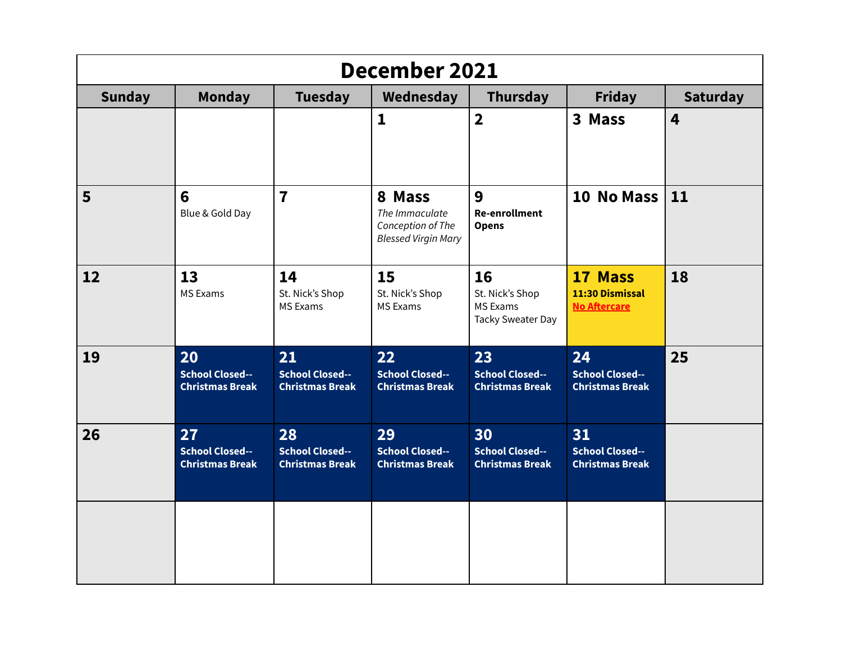| December 2021 |                                                        |                                                        |                                                                             |                                                                      |                                                        |                 |  |  |
|---------------|--------------------------------------------------------|--------------------------------------------------------|-----------------------------------------------------------------------------|----------------------------------------------------------------------|--------------------------------------------------------|-----------------|--|--|
| <b>Sunday</b> | <b>Monday</b>                                          | <b>Tuesday</b>                                         | Wednesday                                                                   | Thursday                                                             | <b>Friday</b>                                          | <b>Saturday</b> |  |  |
|               |                                                        |                                                        | 1                                                                           | $\overline{\mathbf{2}}$                                              | 3 Mass                                                 | 4               |  |  |
| 5             | $6\phantom{1}$<br>Blue & Gold Day                      | $\overline{7}$                                         | 8 Mass<br>The Immaculate<br>Conception of The<br><b>Blessed Virgin Mary</b> | 9<br><b>Re-enrollment</b><br><b>Opens</b>                            | 10 No Mass $ 11$                                       |                 |  |  |
| 12            | 13<br><b>MS Exams</b>                                  | 14<br>St. Nick's Shop<br><b>MS Exams</b>               | 15<br>St. Nick's Shop<br><b>MS Exams</b>                                    | 16<br>St. Nick's Shop<br><b>MS Exams</b><br><b>Tacky Sweater Day</b> | 17 Mass<br>11:30 Dismissal<br><b>No Aftercare</b>      | 18              |  |  |
| 19            | 20<br><b>School Closed--</b><br><b>Christmas Break</b> | 21<br><b>School Closed--</b><br><b>Christmas Break</b> | 22<br><b>School Closed--</b><br><b>Christmas Break</b>                      | 23<br><b>School Closed--</b><br><b>Christmas Break</b>               | 24<br><b>School Closed--</b><br><b>Christmas Break</b> | 25              |  |  |
| 26            | 27<br><b>School Closed--</b><br><b>Christmas Break</b> | 28<br><b>School Closed--</b><br><b>Christmas Break</b> | 29<br><b>School Closed--</b><br><b>Christmas Break</b>                      | 30<br><b>School Closed--</b><br><b>Christmas Break</b>               | 31<br><b>School Closed--</b><br><b>Christmas Break</b> |                 |  |  |
|               |                                                        |                                                        |                                                                             |                                                                      |                                                        |                 |  |  |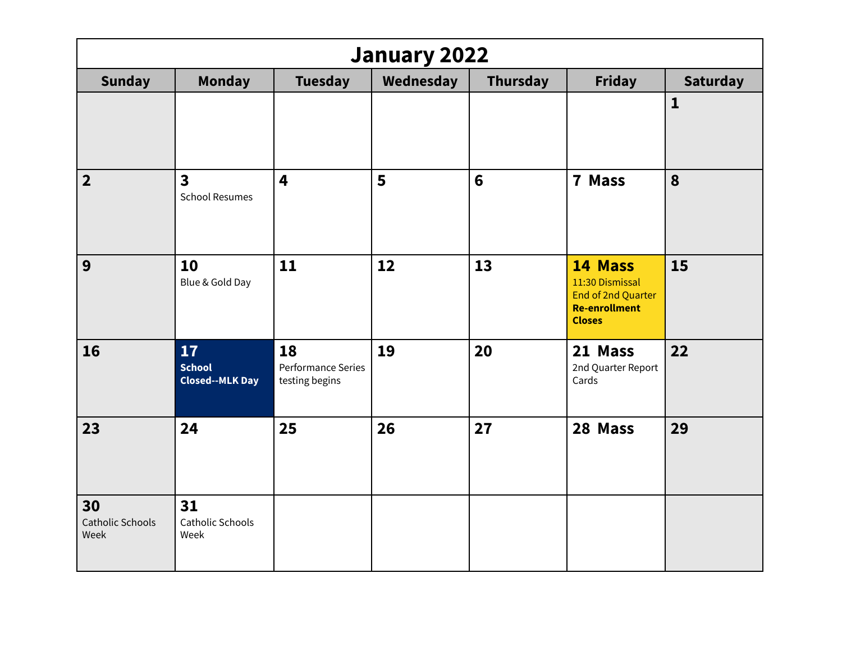| <b>January 2022</b>                   |                                                  |                                            |           |                 |                                                                                                  |                 |  |
|---------------------------------------|--------------------------------------------------|--------------------------------------------|-----------|-----------------|--------------------------------------------------------------------------------------------------|-----------------|--|
| <b>Sunday</b>                         | <b>Monday</b>                                    | <b>Tuesday</b>                             | Wednesday | <b>Thursday</b> | <b>Friday</b>                                                                                    | <b>Saturday</b> |  |
|                                       |                                                  |                                            |           |                 |                                                                                                  | $\mathbf{1}$    |  |
| $\overline{2}$                        | $\overline{\mathbf{3}}$<br><b>School Resumes</b> | 4                                          | 5         | $6\phantom{1}6$ | 7 Mass                                                                                           | 8               |  |
| 9                                     | 10<br>Blue & Gold Day                            | 11                                         | 12        | 13              | 14 Mass<br>11:30 Dismissal<br><b>End of 2nd Quarter</b><br><b>Re-enrollment</b><br><b>Closes</b> | 15              |  |
| 16                                    | 17<br><b>School</b><br><b>Closed--MLK Day</b>    | 18<br>Performance Series<br>testing begins | 19        | 20              | 21 Mass<br>2nd Quarter Report<br>Cards                                                           | 22              |  |
| 23                                    | 24                                               | 25                                         | 26        | 27              | 28 Mass                                                                                          | 29              |  |
| 30<br><b>Catholic Schools</b><br>Week | 31<br>Catholic Schools<br>Week                   |                                            |           |                 |                                                                                                  |                 |  |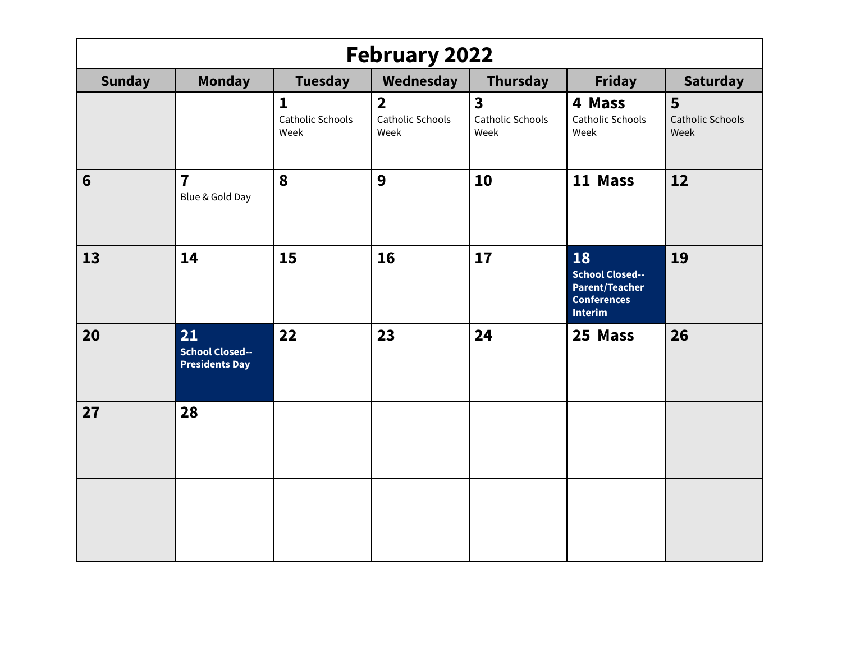| <b>February 2022</b> |                                                       |                                      |                                            |                                                            |                                                                                               |                                      |  |  |
|----------------------|-------------------------------------------------------|--------------------------------------|--------------------------------------------|------------------------------------------------------------|-----------------------------------------------------------------------------------------------|--------------------------------------|--|--|
| <b>Sunday</b>        | <b>Monday</b>                                         | <b>Tuesday</b>                       | Wednesday                                  | <b>Thursday</b>                                            | <b>Friday</b>                                                                                 | <b>Saturday</b>                      |  |  |
|                      |                                                       | 1<br><b>Catholic Schools</b><br>Week | $\overline{2}$<br>Catholic Schools<br>Week | $\overline{\mathbf{3}}$<br><b>Catholic Schools</b><br>Week | 4 Mass<br>Catholic Schools<br>Week                                                            | 5<br><b>Catholic Schools</b><br>Week |  |  |
| 6                    | $\overline{7}$<br>Blue & Gold Day                     | 8                                    | 9                                          | 10                                                         | 11 Mass                                                                                       | 12                                   |  |  |
| 13                   | 14                                                    | 15                                   | 16                                         | 17                                                         | 18<br><b>School Closed--</b><br><b>Parent/Teacher</b><br><b>Conferences</b><br><b>Interim</b> | 19                                   |  |  |
| 20                   | 21<br><b>School Closed--</b><br><b>Presidents Day</b> | 22                                   | 23                                         | 24                                                         | 25 Mass                                                                                       | 26                                   |  |  |
| 27                   | 28                                                    |                                      |                                            |                                                            |                                                                                               |                                      |  |  |
|                      |                                                       |                                      |                                            |                                                            |                                                                                               |                                      |  |  |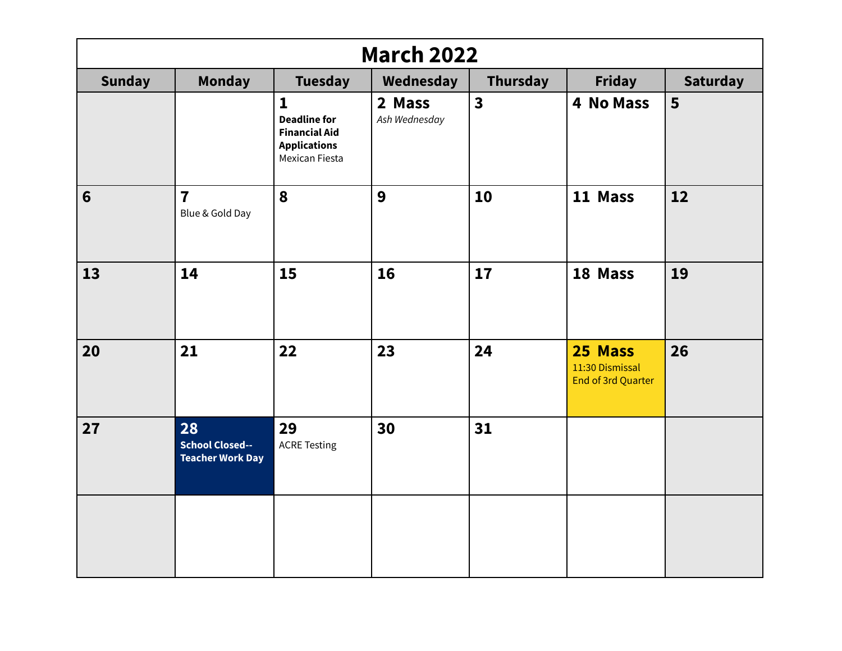| <b>March 2022</b> |                                                         |                                                                                                      |                         |                         |                                                  |                 |  |  |
|-------------------|---------------------------------------------------------|------------------------------------------------------------------------------------------------------|-------------------------|-------------------------|--------------------------------------------------|-----------------|--|--|
| <b>Sunday</b>     | <b>Monday</b>                                           | <b>Tuesday</b>                                                                                       | Wednesday               | Thursday                | <b>Friday</b>                                    | <b>Saturday</b> |  |  |
|                   |                                                         | $\mathbf{1}$<br><b>Deadline for</b><br><b>Financial Aid</b><br><b>Applications</b><br>Mexican Fiesta | 2 Mass<br>Ash Wednesday | $\overline{\mathbf{3}}$ | 4 No Mass                                        | 5               |  |  |
| $6\phantom{1}$    | $\overline{7}$<br>Blue & Gold Day                       | 8                                                                                                    | 9                       | 10                      | 11 Mass                                          | 12              |  |  |
| 13                | 14                                                      | 15                                                                                                   | 16                      | 17                      | 18 Mass                                          | 19              |  |  |
| 20                | 21                                                      | 22                                                                                                   | 23                      | 24                      | 25 Mass<br>11:30 Dismissal<br>End of 3rd Quarter | 26              |  |  |
| 27                | 28<br><b>School Closed--</b><br><b>Teacher Work Day</b> | 29<br><b>ACRE Testing</b>                                                                            | 30                      | 31                      |                                                  |                 |  |  |
|                   |                                                         |                                                                                                      |                         |                         |                                                  |                 |  |  |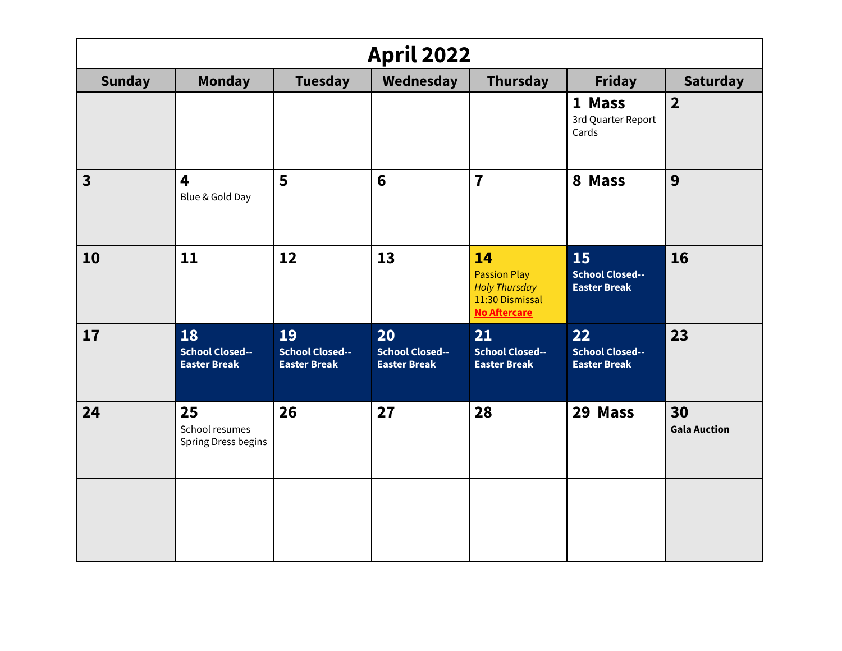| <b>April 2022</b>       |                                                     |                                                     |                                                     |                                                                                             |                                                     |                           |  |  |
|-------------------------|-----------------------------------------------------|-----------------------------------------------------|-----------------------------------------------------|---------------------------------------------------------------------------------------------|-----------------------------------------------------|---------------------------|--|--|
| <b>Sunday</b>           | <b>Monday</b>                                       | <b>Tuesday</b>                                      | Wednesday                                           | <b>Thursday</b>                                                                             | <b>Friday</b>                                       | <b>Saturday</b>           |  |  |
|                         |                                                     |                                                     |                                                     |                                                                                             | 1 Mass<br>3rd Quarter Report<br>Cards               | $\overline{\mathbf{2}}$   |  |  |
| $\overline{\mathbf{3}}$ | 4<br>Blue & Gold Day                                | 5                                                   | $6\phantom{1}6$                                     | $\overline{7}$                                                                              | 8 Mass                                              | 9                         |  |  |
| 10                      | 11                                                  | 12                                                  | 13                                                  | 14<br><b>Passion Play</b><br><b>Holy Thursday</b><br>11:30 Dismissal<br><b>No Aftercare</b> | 15<br><b>School Closed--</b><br><b>Easter Break</b> | 16                        |  |  |
| 17                      | 18<br><b>School Closed--</b><br><b>Easter Break</b> | 19<br><b>School Closed--</b><br><b>Easter Break</b> | 20<br><b>School Closed--</b><br><b>Easter Break</b> | 21<br><b>School Closed--</b><br><b>Easter Break</b>                                         | 22<br><b>School Closed--</b><br><b>Easter Break</b> | 23                        |  |  |
| 24                      | 25<br>School resumes<br>Spring Dress begins         | 26                                                  | 27                                                  | 28                                                                                          | 29 Mass                                             | 30<br><b>Gala Auction</b> |  |  |
|                         |                                                     |                                                     |                                                     |                                                                                             |                                                     |                           |  |  |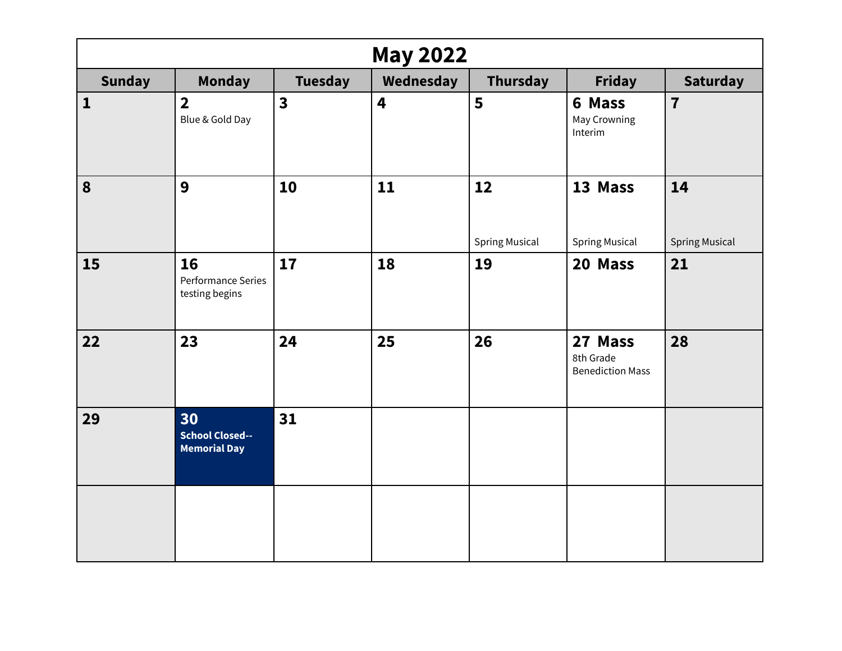| <b>May 2022</b> |                                                     |                         |           |                             |                                                 |                             |  |  |
|-----------------|-----------------------------------------------------|-------------------------|-----------|-----------------------------|-------------------------------------------------|-----------------------------|--|--|
| <b>Sunday</b>   | <b>Monday</b>                                       | <b>Tuesday</b>          | Wednesday | <b>Thursday</b>             | <b>Friday</b>                                   | <b>Saturday</b>             |  |  |
| $\mathbf{1}$    | $\overline{\mathbf{2}}$<br>Blue & Gold Day          | $\overline{\mathbf{3}}$ | 4         | 5                           | 6 Mass<br>May Crowning<br>Interim               | $\overline{7}$              |  |  |
| 8               | 9                                                   | 10                      | 11        | 12<br><b>Spring Musical</b> | 13 Mass<br><b>Spring Musical</b>                | 14<br><b>Spring Musical</b> |  |  |
| 15              | 16<br>Performance Series<br>testing begins          | 17                      | 18        | 19                          | 20 Mass                                         | 21                          |  |  |
| 22              | 23                                                  | 24                      | 25        | 26                          | 27 Mass<br>8th Grade<br><b>Benediction Mass</b> | 28                          |  |  |
| 29              | 30<br><b>School Closed--</b><br><b>Memorial Day</b> | 31                      |           |                             |                                                 |                             |  |  |
|                 |                                                     |                         |           |                             |                                                 |                             |  |  |